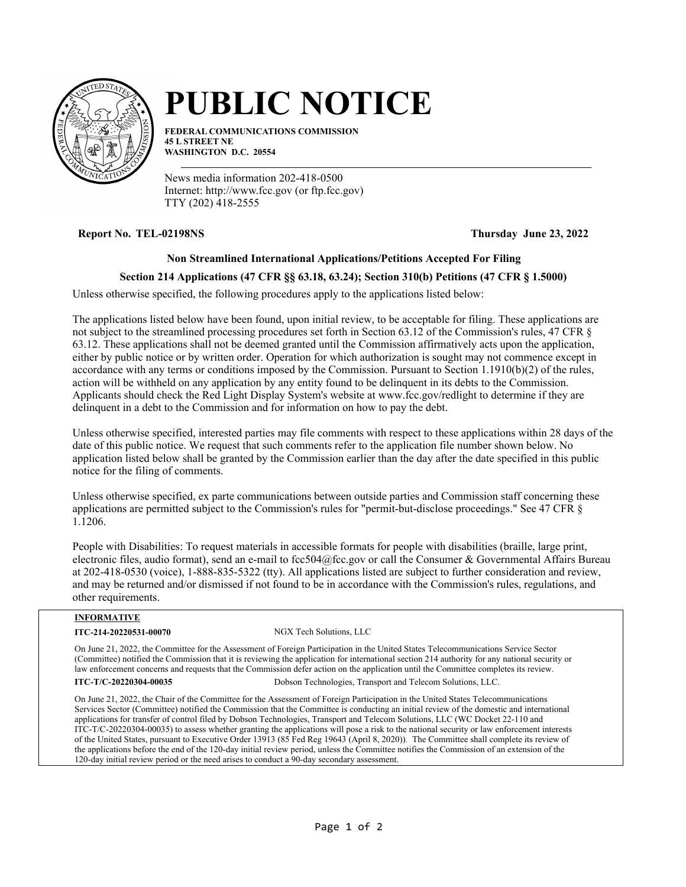

# **PUBLIC NOTICE**

**FEDERAL COMMUNICATIONS COMMISSION 45 L STREET NE WASHINGTON D.C. 20554**

News media information 202-418-0500 Internet: http://www.fcc.gov (or ftp.fcc.gov) TTY (202) 418-2555

# **Report No. TEL-02198NS Thursday June 23, 2022**

# **Non Streamlined International Applications/Petitions Accepted For Filing**

# **Section 214 Applications (47 CFR §§ 63.18, 63.24); Section 310(b) Petitions (47 CFR § 1.5000)**

Unless otherwise specified, the following procedures apply to the applications listed below:

The applications listed below have been found, upon initial review, to be acceptable for filing. These applications are not subject to the streamlined processing procedures set forth in Section 63.12 of the Commission's rules, 47 CFR § 63.12. These applications shall not be deemed granted until the Commission affirmatively acts upon the application, either by public notice or by written order. Operation for which authorization is sought may not commence except in accordance with any terms or conditions imposed by the Commission. Pursuant to Section 1.1910(b)(2) of the rules, action will be withheld on any application by any entity found to be delinquent in its debts to the Commission. Applicants should check the Red Light Display System's website at www.fcc.gov/redlight to determine if they are delinquent in a debt to the Commission and for information on how to pay the debt.

Unless otherwise specified, interested parties may file comments with respect to these applications within 28 days of the date of this public notice. We request that such comments refer to the application file number shown below. No application listed below shall be granted by the Commission earlier than the day after the date specified in this public notice for the filing of comments.

Unless otherwise specified, ex parte communications between outside parties and Commission staff concerning these applications are permitted subject to the Commission's rules for "permit-but-disclose proceedings." See 47 CFR § 1.1206.

People with Disabilities: To request materials in accessible formats for people with disabilities (braille, large print, electronic files, audio format), send an e-mail to fcc504@fcc.gov or call the Consumer & Governmental Affairs Bureau at 202-418-0530 (voice), 1-888-835-5322 (tty). All applications listed are subject to further consideration and review, and may be returned and/or dismissed if not found to be in accordance with the Commission's rules, regulations, and other requirements.

## **INFORMATIVE**

**ITC-214-20220531-00070** NGX Tech Solutions, LLC

On June 21, 2022, the Committee for the Assessment of Foreign Participation in the United States Telecommunications Service Sector (Committee) notified the Commission that it is reviewing the application for international section 214 authority for any national security or law enforcement concerns and requests that the Commission defer action on the application until the Committee completes its review.

**ITC-T/C-20220304-00035** Dobson Technologies, Transport and Telecom Solutions, LLC.

On June 21, 2022, the Chair of the Committee for the Assessment of Foreign Participation in the United States Telecommunications Services Sector (Committee) notified the Commission that the Committee is conducting an initial review of the domestic and international applications for transfer of control filed by Dobson Technologies, Transport and Telecom Solutions, LLC (WC Docket 22-110 and ITC-T/C-20220304-00035) to assess whether granting the applications will pose a risk to the national security or law enforcement interests of the United States, pursuant to Executive Order 13913 (85 Fed Reg 19643 (April 8, 2020)). The Committee shall complete its review of the applications before the end of the 120-day initial review period, unless the Committee notifies the Commission of an extension of the 120-day initial review period or the need arises to conduct a 90-day secondary assessment.